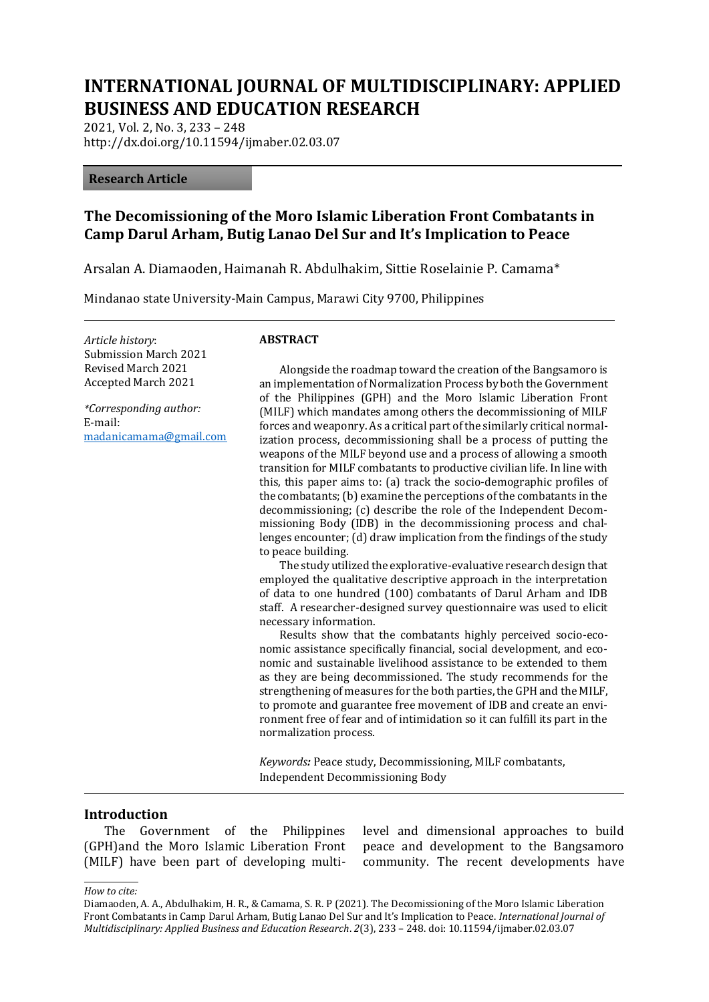# **INTERNATIONAL JOURNAL OF MULTIDISCIPLINARY: APPLIED BUSINESS AND EDUCATION RESEARCH**

2021, Vol. 2, No. 3, 233 – 248 http://dx.doi.org/10.11594/ijmaber.02.03.07

#### **Research Article**

## **The Decomissioning of the Moro Islamic Liberation Front Combatants in Camp Darul Arham, Butig Lanao Del Sur and It's Implication to Peace**

Arsalan A. Diamaoden, Haimanah R. Abdulhakim, Sittie Roselainie P. Camama\*

Mindanao state University-Main Campus, Marawi City 9700, Philippines

*Article history*: Submission March 2021 Revised March 2021 Accepted March 2021

*\*Corresponding author:* E-mail: madanicamama@gmail.com

#### **ABSTRACT**

Alongside the roadmap toward the creation of the Bangsamoro is an implementation of Normalization Process by both the Government of the Philippines (GPH) and the Moro Islamic Liberation Front (MILF) which mandates among others the decommissioning of MILF forces and weaponry. As a critical part of the similarly critical normalization process, decommissioning shall be a process of putting the weapons of the MILF beyond use and a process of allowing a smooth transition for MILF combatants to productive civilian life. In line with this, this paper aims to: (a) track the socio-demographic profiles of the combatants; (b) examine the perceptions of the combatants in the decommissioning; (c) describe the role of the Independent Decommissioning Body (IDB) in the decommissioning process and challenges encounter; (d) draw implication from the findings of the study to peace building.

The study utilized the explorative-evaluative research design that employed the qualitative descriptive approach in the interpretation of data to one hundred (100) combatants of Darul Arham and IDB staff. A researcher-designed survey questionnaire was used to elicit necessary information.

Results show that the combatants highly perceived socio-economic assistance specifically financial, social development, and economic and sustainable livelihood assistance to be extended to them as they are being decommissioned. The study recommends for the strengthening of measures for the both parties, the GPH and the MILF, to promote and guarantee free movement of IDB and create an environment free of fear and of intimidation so it can fulfill its part in the normalization process.

*Keywords:* Peace study, Decommissioning, MILF combatants, Independent Decommissioning Body

#### **Introduction**

The Government of the Philippines (GPH)and the Moro Islamic Liberation Front (MILF) have been part of developing multilevel and dimensional approaches to build peace and development to the Bangsamoro community. The recent developments have

*How to cite:*

Diamaoden, A. A., Abdulhakim, H. R., & Camama, S. R. P (2021). The Decomissioning of the Moro Islamic Liberation Front Combatants in Camp Darul Arham, Butig Lanao Del Sur and It's Implication to Peace. *International Journal of Multidisciplinary: Applied Business and Education Research*. *2*(3), 233 – 248. doi: 10.11594/ijmaber.02.03.07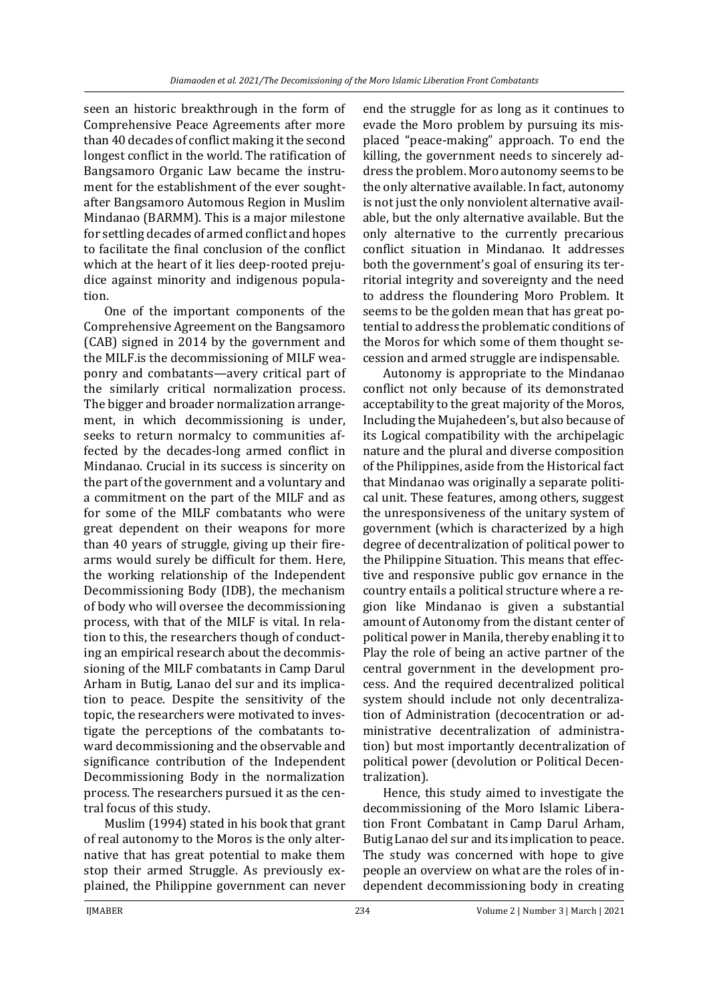seen an historic breakthrough in the form of Comprehensive Peace Agreements after more than 40 decades of conflict making it the second longest conflict in the world. The ratification of Bangsamoro Organic Law became the instrument for the establishment of the ever soughtafter Bangsamoro Automous Region in Muslim Mindanao (BARMM). This is a major milestone for settling decades of armed conflict and hopes to facilitate the final conclusion of the conflict which at the heart of it lies deep-rooted prejudice against minority and indigenous population.

One of the important components of the Comprehensive Agreement on the Bangsamoro (CAB) signed in 2014 by the government and the MILF.is the decommissioning of MILF weaponry and combatants—avery critical part of the similarly critical normalization process. The bigger and broader normalization arrangement, in which decommissioning is under, seeks to return normalcy to communities affected by the decades-long armed conflict in Mindanao. Crucial in its success is sincerity on the part of the government and a voluntary and a commitment on the part of the MILF and as for some of the MILF combatants who were great dependent on their weapons for more than 40 years of struggle, giving up their firearms would surely be difficult for them. Here, the working relationship of the Independent Decommissioning Body (IDB), the mechanism of body who will oversee the decommissioning process, with that of the MILF is vital. In relation to this, the researchers though of conducting an empirical research about the decommissioning of the MILF combatants in Camp Darul Arham in Butig, Lanao del sur and its implication to peace. Despite the sensitivity of the topic, the researchers were motivated to investigate the perceptions of the combatants toward decommissioning and the observable and significance contribution of the Independent Decommissioning Body in the normalization process. The researchers pursued it as the central focus of this study.

Muslim (1994) stated in his book that grant of real autonomy to the Moros is the only alternative that has great potential to make them stop their armed Struggle. As previously explained, the Philippine government can never

end the struggle for as long as it continues to evade the Moro problem by pursuing its misplaced "peace-making" approach. To end the killing, the government needs to sincerely address the problem. Moro autonomy seems to be the only alternative available. In fact, autonomy is not just the only nonviolent alternative available, but the only alternative available. But the only alternative to the currently precarious conflict situation in Mindanao. It addresses both the government's goal of ensuring its territorial integrity and sovereignty and the need to address the floundering Moro Problem. It seems to be the golden mean that has great potential to address the problematic conditions of the Moros for which some of them thought secession and armed struggle are indispensable.

Autonomy is appropriate to the Mindanao conflict not only because of its demonstrated acceptability to the great majority of the Moros, Including the Mujahedeen's, but also because of its Logical compatibility with the archipelagic nature and the plural and diverse composition of the Philippines, aside from the Historical fact that Mindanao was originally a separate political unit. These features, among others, suggest the unresponsiveness of the unitary system of government (which is characterized by a high degree of decentralization of political power to the Philippine Situation. This means that effective and responsive public gov ernance in the country entails a political structure where a region like Mindanao is given a substantial amount of Autonomy from the distant center of political power in Manila, thereby enabling it to Play the role of being an active partner of the central government in the development process. And the required decentralized political system should include not only decentralization of Administration (decocentration or administrative decentralization of administration) but most importantly decentralization of political power (devolution or Political Decentralization).

Hence, this study aimed to investigate the decommissioning of the Moro Islamic Liberation Front Combatant in Camp Darul Arham, Butig Lanao del sur and its implication to peace. The study was concerned with hope to give people an overview on what are the roles of independent decommissioning body in creating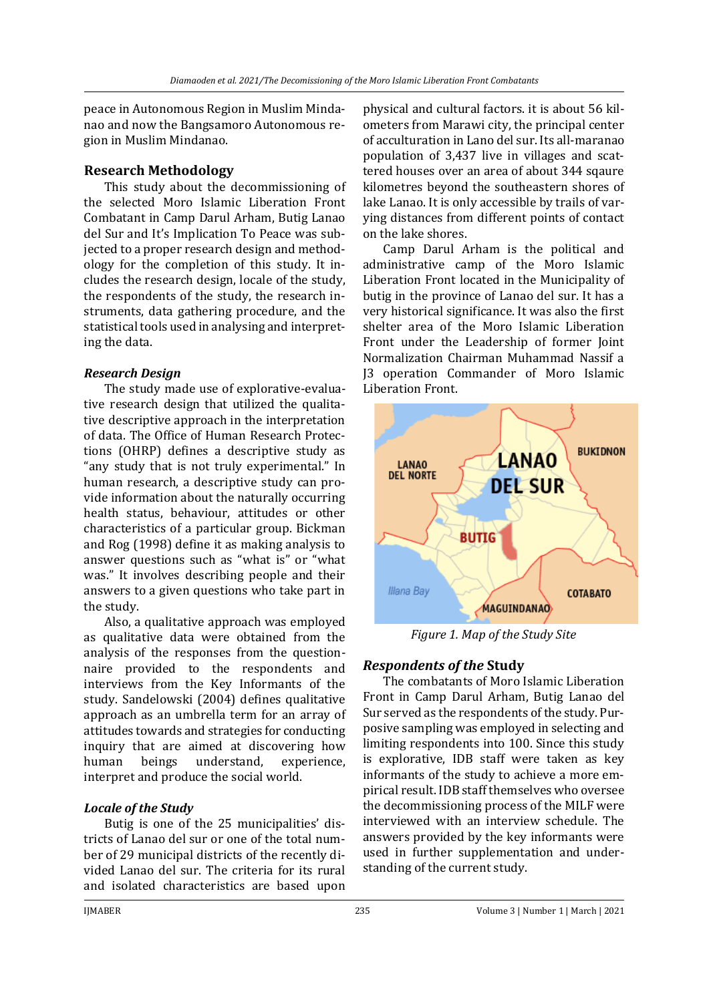peace in Autonomous Region in Muslim Mindanao and now the Bangsamoro Autonomous region in Muslim Mindanao.

### **Research Methodology**

This study about the decommissioning of the selected Moro Islamic Liberation Front Combatant in Camp Darul Arham, Butig Lanao del Sur and It's Implication To Peace was subjected to a proper research design and methodology for the completion of this study. It includes the research design, locale of the study, the respondents of the study, the research instruments, data gathering procedure, and the statistical tools used in analysing and interpreting the data.

### *Research Design*

The study made use of explorative-evaluative research design that utilized the qualitative descriptive approach in the interpretation of data. The Office of Human Research Protections (OHRP) defines a descriptive study as "any study that is not truly experimental." In human research, a descriptive study can provide information about the naturally occurring health status, behaviour, attitudes or other characteristics of a particular group. Bickman and Rog (1998) define it as making analysis to answer questions such as "what is" or "what was." It involves describing people and their answers to a given questions who take part in the study.

Also, a qualitative approach was employed as qualitative data were obtained from the analysis of the responses from the questionnaire provided to the respondents and interviews from the Key Informants of the study. Sandelowski (2004) defines qualitative approach as an umbrella term for an array of attitudes towards and strategies for conducting inquiry that are aimed at discovering how human beings understand, experience, interpret and produce the social world.

## *Locale of the Study*

Butig is one of the 25 municipalities' districts of Lanao del sur or one of the total number of 29 municipal districts of the recently divided Lanao del sur. The criteria for its rural and isolated characteristics are based upon

physical and cultural factors. it is about 56 kilometers from Marawi city, the principal center of acculturation in Lano del sur. Its all-maranao population of 3,437 live in villages and scattered houses over an area of about 344 sqaure kilometres beyond the southeastern shores of lake Lanao. It is only accessible by trails of varying distances from different points of contact on the lake shores.

Camp Darul Arham is the political and administrative camp of the Moro Islamic Liberation Front located in the Municipality of butig in the province of Lanao del sur. It has a very historical significance. It was also the first shelter area of the Moro Islamic Liberation Front under the Leadership of former Joint Normalization Chairman Muhammad Nassif a J3 operation Commander of Moro Islamic Liberation Front.



*Figure 1. Map of the Study Site*

## *Respondents of the* **Study**

The combatants of Moro Islamic Liberation Front in Camp Darul Arham, Butig Lanao del Sur served as the respondents of the study. Purposive sampling was employed in selecting and limiting respondents into 100. Since this study is explorative, IDB staff were taken as key informants of the study to achieve a more empirical result. IDB staff themselves who oversee the decommissioning process of the MILF were interviewed with an interview schedule. The answers provided by the key informants were used in further supplementation and understanding of the current study.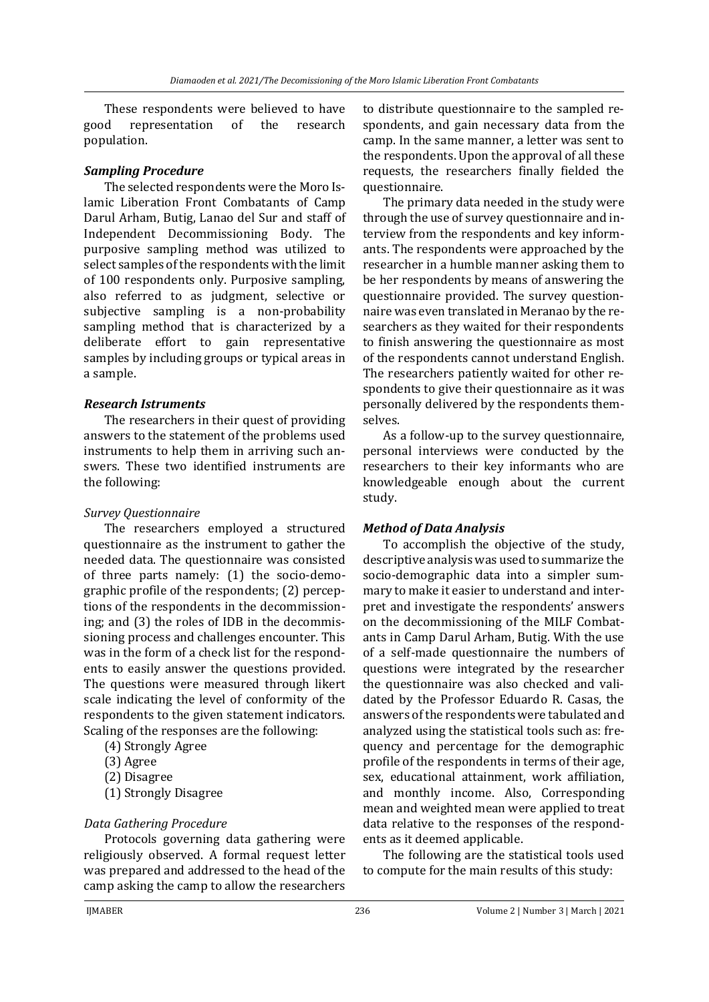These respondents were believed to have good representation of the research population.

#### *Sampling Procedure*

The selected respondents were the Moro Islamic Liberation Front Combatants of Camp Darul Arham, Butig, Lanao del Sur and staff of Independent Decommissioning Body. The purposive sampling method was utilized to select samples of the respondents with the limit of 100 respondents only. Purposive sampling, also referred to as judgment, selective or subjective sampling is a non-probability sampling method that is characterized by a deliberate effort to gain representative samples by including groups or typical areas in a sample.

#### *Research Istruments*

The researchers in their quest of providing answers to the statement of the problems used instruments to help them in arriving such answers. These two identified instruments are the following:

#### *Survey Questionnaire*

The researchers employed a structured questionnaire as the instrument to gather the needed data. The questionnaire was consisted of three parts namely: (1) the socio-demographic profile of the respondents; (2) perceptions of the respondents in the decommissioning; and (3) the roles of IDB in the decommissioning process and challenges encounter. This was in the form of a check list for the respondents to easily answer the questions provided. The questions were measured through likert scale indicating the level of conformity of the respondents to the given statement indicators. Scaling of the responses are the following:

- (4) Strongly Agree
- (3) Agree
- (2) Disagree
- (1) Strongly Disagree

#### *Data Gathering Procedure*

Protocols governing data gathering were religiously observed. A formal request letter was prepared and addressed to the head of the camp asking the camp to allow the researchers

to distribute questionnaire to the sampled respondents, and gain necessary data from the camp. In the same manner, a letter was sent to the respondents. Upon the approval of all these requests, the researchers finally fielded the questionnaire.

The primary data needed in the study were through the use of survey questionnaire and interview from the respondents and key informants. The respondents were approached by the researcher in a humble manner asking them to be her respondents by means of answering the questionnaire provided. The survey questionnaire was even translated in Meranao by the researchers as they waited for their respondents to finish answering the questionnaire as most of the respondents cannot understand English. The researchers patiently waited for other respondents to give their questionnaire as it was personally delivered by the respondents themselves.

As a follow-up to the survey questionnaire, personal interviews were conducted by the researchers to their key informants who are knowledgeable enough about the current study.

#### *Method of Data Analysis*

To accomplish the objective of the study, descriptive analysis was used to summarize the socio-demographic data into a simpler summary to make it easier to understand and interpret and investigate the respondents' answers on the decommissioning of the MILF Combatants in Camp Darul Arham, Butig. With the use of a self-made questionnaire the numbers of questions were integrated by the researcher the questionnaire was also checked and validated by the Professor Eduardo R. Casas, the answers of the respondents were tabulated and analyzed using the statistical tools such as: frequency and percentage for the demographic profile of the respondents in terms of their age, sex, educational attainment, work affiliation, and monthly income. Also, Corresponding mean and weighted mean were applied to treat data relative to the responses of the respondents as it deemed applicable.

The following are the statistical tools used to compute for the main results of this study: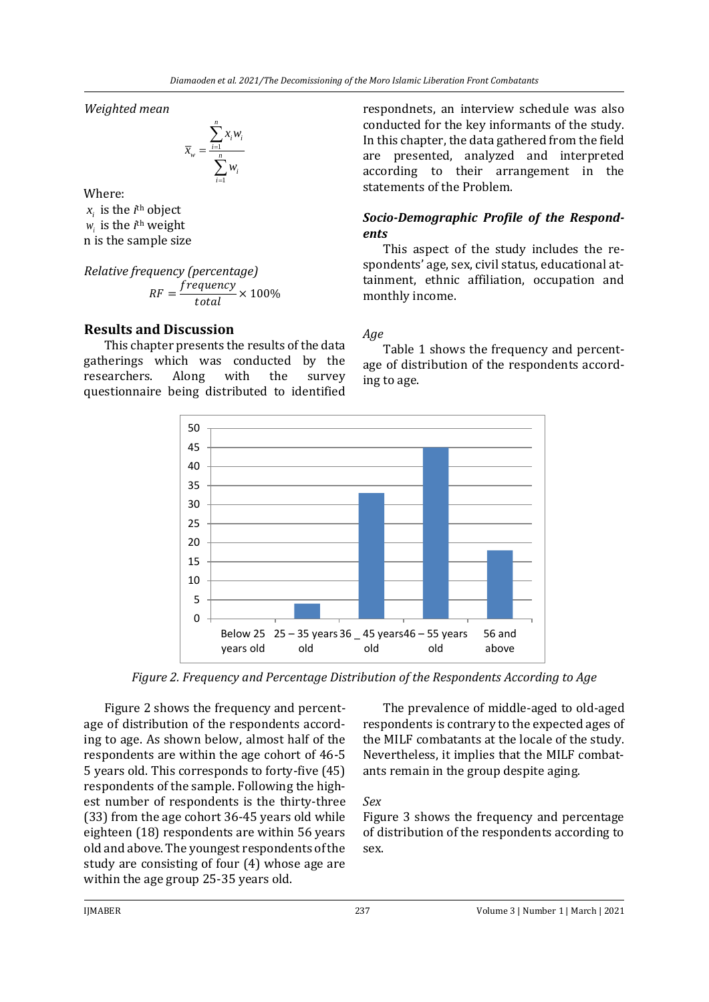*Weighted mean*

$$
\overline{x}_{w} = \frac{\sum_{i=1}^{n} x_{i}w_{i}}{\sum_{i=1}^{n} w_{i}}
$$

Where:

 $x_i$  is the *i*<sup>th</sup> object  $w_i$  is the *i*<sup>th</sup> weight n is the sample size

*Relative frequency (percentage)*  $RF = \frac{frequency}{total} \times 100\%$ 

## **Results and Discussion**

This chapter presents the results of the data gatherings which was conducted by the researchers. Along with the survey questionnaire being distributed to identified respondnets, an interview schedule was also conducted for the key informants of the study. In this chapter, the data gathered from the field are presented, analyzed and interpreted according to their arrangement in the statements of the Problem.

### *Socio-Demographic Profile of the Respondents*

This aspect of the study includes the respondents' age, sex, civil status, educational attainment, ethnic affiliation, occupation and monthly income.

#### *Age*

Table 1 shows the frequency and percentage of distribution of the respondents according to age.



*Figure 2. Frequency and Percentage Distribution of the Respondents According to Age*

Figure 2 shows the frequency and percentage of distribution of the respondents according to age. As shown below, almost half of the respondents are within the age cohort of 46-5 5 years old. This corresponds to forty-five (45) respondents of the sample. Following the highest number of respondents is the thirty-three (33) from the age cohort 36-45 years old while eighteen (18) respondents are within 56 years old and above. The youngest respondents of the study are consisting of four (4) whose age are within the age group 25-35 years old.

The prevalence of middle-aged to old-aged respondents is contrary to the expected ages of the MILF combatants at the locale of the study. Nevertheless, it implies that the MILF combatants remain in the group despite aging.

*Sex*

Figure 3 shows the frequency and percentage of distribution of the respondents according to sex.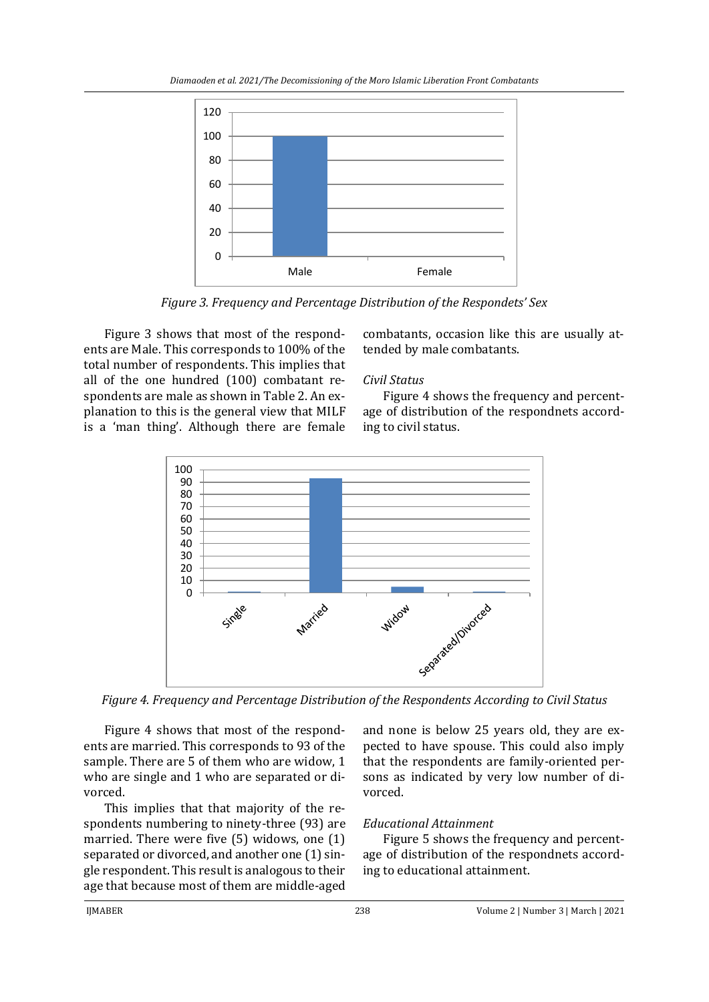

*Figure 3. Frequency and Percentage Distribution of the Respondets' Sex*

Figure 3 shows that most of the respondents are Male. This corresponds to 100% of the total number of respondents. This implies that all of the one hundred (100) combatant respondents are male as shown in Table 2. An explanation to this is the general view that MILF is a 'man thing'. Although there are female

#### combatants, occasion like this are usually attended by male combatants.

#### *Civil Status*

Figure 4 shows the frequency and percentage of distribution of the respondnets according to civil status.



*Figure 4. Frequency and Percentage Distribution of the Respondents According to Civil Status*

Figure 4 shows that most of the respondents are married. This corresponds to 93 of the sample. There are 5 of them who are widow, 1 who are single and 1 who are separated or divorced.

This implies that that majority of the respondents numbering to ninety-three (93) are married. There were five (5) widows, one (1) separated or divorced, and another one (1) single respondent. This result is analogous to their age that because most of them are middle-aged

and none is below 25 years old, they are expected to have spouse. This could also imply that the respondents are family-oriented persons as indicated by very low number of divorced.

## *Educational Attainment*

Figure 5 shows the frequency and percentage of distribution of the respondnets according to educational attainment.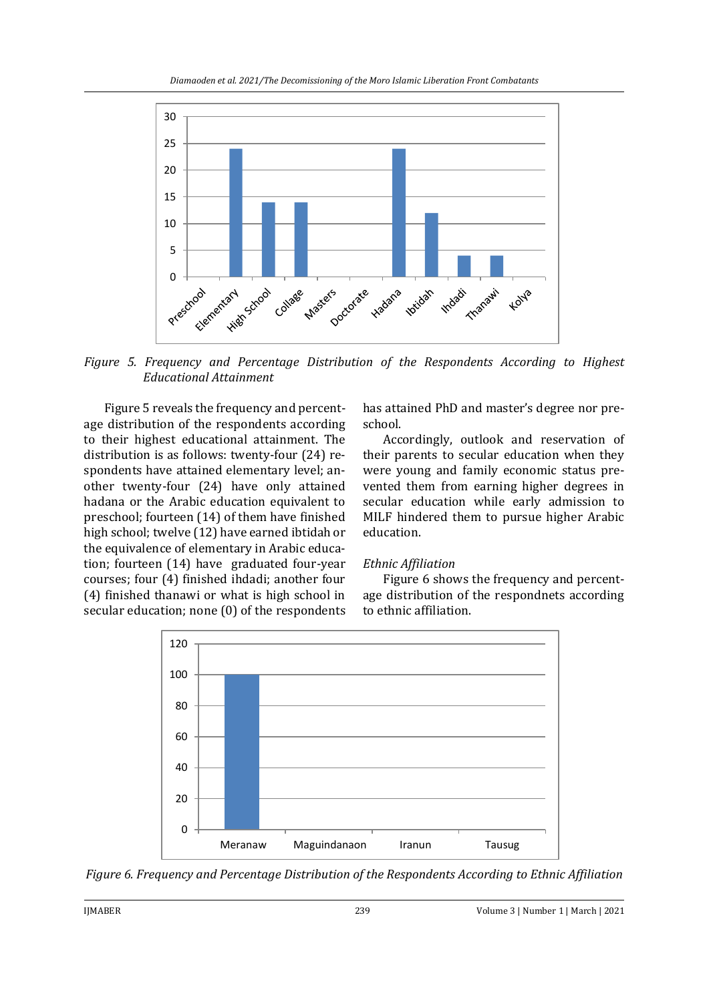

*Figure 5. Frequency and Percentage Distribution of the Respondents According to Highest Educational Attainment*

Figure 5 reveals the frequency and percentage distribution of the respondents according to their highest educational attainment. The distribution is as follows: twenty-four (24) respondents have attained elementary level; another twenty-four (24) have only attained hadana or the Arabic education equivalent to preschool; fourteen (14) of them have finished high school; twelve (12) have earned ibtidah or the equivalence of elementary in Arabic education; fourteen (14) have graduated four-year courses; four (4) finished ihdadi; another four (4) finished thanawi or what is high school in secular education; none (0) of the respondents

has attained PhD and master's degree nor preschool.

Accordingly, outlook and reservation of their parents to secular education when they were young and family economic status prevented them from earning higher degrees in secular education while early admission to MILF hindered them to pursue higher Arabic education.

#### *Ethnic Affiliation*

Figure 6 shows the frequency and percentage distribution of the respondnets according to ethnic affiliation.



*Figure 6. Frequency and Percentage Distribution of the Respondents According to Ethnic Affiliation*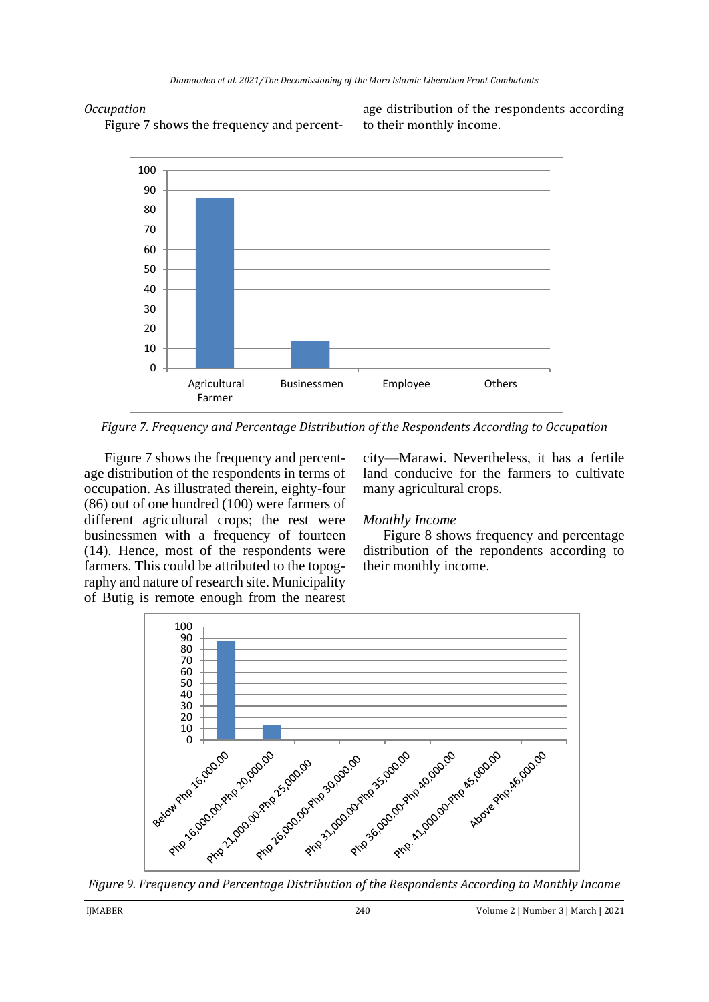#### *Occupation*

Figure 7 shows the frequency and percent-

age distribution of the respondents according to their monthly income.



*Figure 7. Frequency and Percentage Distribution of the Respondents According to Occupation*

Figure 7 shows the frequency and percentage distribution of the respondents in terms of occupation. As illustrated therein, eighty-four (86) out of one hundred (100) were farmers of different agricultural crops; the rest were businessmen with a frequency of fourteen (14). Hence, most of the respondents were farmers. This could be attributed to the topography and nature of research site. Municipality of Butig is remote enough from the nearest

city—Marawi. Nevertheless, it has a fertile land conducive for the farmers to cultivate many agricultural crops.

### *Monthly Income*

Figure 8 shows frequency and percentage distribution of the repondents according to their monthly income.



*Figure 9. Frequency and Percentage Distribution of the Respondents According to Monthly Income*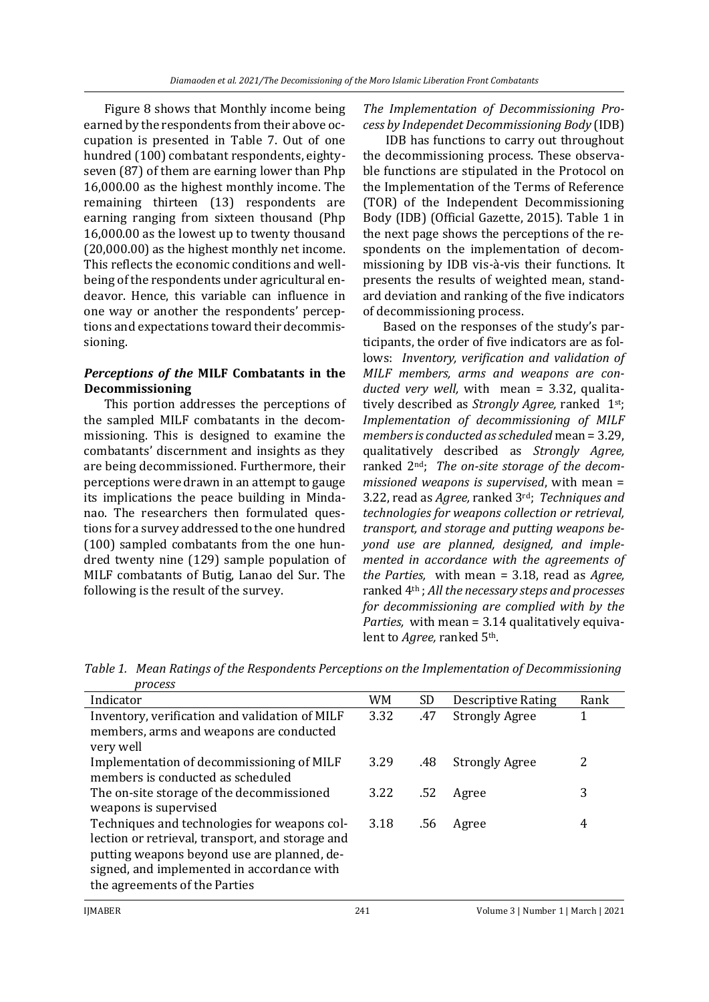Figure 8 shows that Monthly income being earned by the respondents from their above occupation is presented in Table 7. Out of one hundred (100) combatant respondents, eightyseven (87) of them are earning lower than Php 16,000.00 as the highest monthly income. The remaining thirteen (13) respondents are earning ranging from sixteen thousand (Php 16,000.00 as the lowest up to twenty thousand (20,000.00) as the highest monthly net income. This reflects the economic conditions and wellbeing of the respondents under agricultural endeavor. Hence, this variable can influence in one way or another the respondents' perceptions and expectations toward their decommissioning.

### *Perceptions of the* **MILF Combatants in the Decommissioning**

This portion addresses the perceptions of the sampled MILF combatants in the decommissioning. This is designed to examine the combatants' discernment and insights as they are being decommissioned. Furthermore, their perceptions were drawn in an attempt to gauge its implications the peace building in Mindanao. The researchers then formulated questions for a survey addressed to the one hundred (100) sampled combatants from the one hundred twenty nine (129) sample population of MILF combatants of Butig, Lanao del Sur. The following is the result of the survey.

*The Implementation of Decommissioning Process by Independet Decommissioning Body* (IDB)

IDB has functions to carry out throughout the decommissioning process. These observable functions are stipulated in the Protocol on the Implementation of the Terms of Reference (TOR) of the Independent Decommissioning Body (IDB) (Official Gazette, 2015). Table 1 in the next page shows the perceptions of the respondents on the implementation of decommissioning by IDB vis-à-vis their functions. It presents the results of weighted mean, standard deviation and ranking of the five indicators of decommissioning process.

Based on the responses of the study's participants, the order of five indicators are as follows: *Inventory, verification and validation of MILF members, arms and weapons are conducted very well,* with mean = 3.32, qualitatively described as *Strongly Agree,* ranked 1st; *Implementation of decommissioning of MILF members is conducted as scheduled* mean = 3.29, qualitatively described as *Strongly Agree,*  ranked 2nd; *The on-site storage of the decommissioned weapons is supervised*, with mean = 3.22, read as *Agree,* ranked 3rd; *Techniques and technologies for weapons collection or retrieval, transport, and storage and putting weapons beyond use are planned, designed, and implemented in accordance with the agreements of the Parties,* with mean = 3.18, read as *Agree,*  ranked 4th ; *All the necessary steps and processes for decommissioning are complied with by the Parties,* with mean = 3.14 qualitatively equivalent to *Agree,* ranked 5th.

*Table 1. Mean Ratings of the Respondents Perceptions on the Implementation of Decommissioning process*

| <b>DI UCCU</b>                                   |      |     |                           |      |
|--------------------------------------------------|------|-----|---------------------------|------|
| Indicator                                        | WM   | SD  | <b>Descriptive Rating</b> | Rank |
| Inventory, verification and validation of MILF   | 3.32 | .47 | <b>Strongly Agree</b>     | 1    |
| members, arms and weapons are conducted          |      |     |                           |      |
| very well                                        |      |     |                           |      |
| Implementation of decommissioning of MILF        | 3.29 | .48 | <b>Strongly Agree</b>     | 2    |
| members is conducted as scheduled                |      |     |                           |      |
| The on-site storage of the decommissioned        | 3.22 | .52 | Agree                     | 3    |
| weapons is supervised                            |      |     |                           |      |
| Techniques and technologies for weapons col-     | 3.18 | .56 | Agree                     | 4    |
| lection or retrieval, transport, and storage and |      |     |                           |      |
| putting weapons beyond use are planned, de-      |      |     |                           |      |
| signed, and implemented in accordance with       |      |     |                           |      |
| the agreements of the Parties                    |      |     |                           |      |
|                                                  |      |     |                           |      |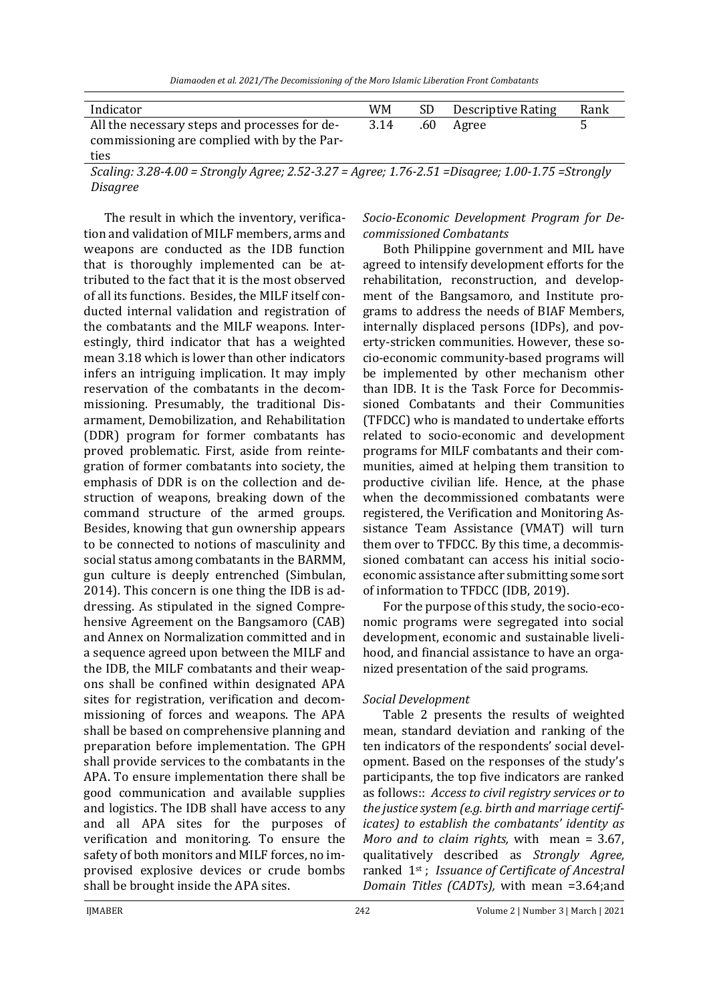*Diamaoden et al. 2021/The Decomissioning of the Moro Islamic Liberation Front Combatants* 

| Indicator                                     | WM   | SD. | <b>Descriptive Rating</b> | Rank |
|-----------------------------------------------|------|-----|---------------------------|------|
| All the necessary steps and processes for de- | 3.14 | .60 | Agree                     |      |
| commissioning are complied with by the Par-   |      |     |                           |      |
| ties                                          |      |     |                           |      |

*Scaling: 3.28-4.00 = Strongly Agree; 2.52-3.27 = Agree; 1.76-2.51 =Disagree; 1.00-1.75 =Strongly Disagree*

The result in which the inventory, verification and validation of MILF members, arms and weapons are conducted as the IDB function that is thoroughly implemented can be attributed to the fact that it is the most observed of all its functions. Besides, the MILF itself conducted internal validation and registration of the combatants and the MILF weapons. Interestingly, third indicator that has a weighted mean 3.18 which is lower than other indicators infers an intriguing implication. It may imply reservation of the combatants in the decommissioning. Presumably, the traditional Disarmament, Demobilization, and Rehabilitation (DDR) program for former combatants has proved problematic. First, aside from reintegration of former combatants into society, the emphasis of DDR is on the collection and destruction of weapons, breaking down of the command structure of the armed groups. Besides, knowing that gun ownership appears to be connected to notions of masculinity and social status among combatants in the BARMM, gun culture is deeply entrenched (Simbulan, 2014). This concern is one thing the IDB is addressing. As stipulated in the signed Comprehensive Agreement on the Bangsamoro (CAB) and Annex on Normalization committed and in a sequence agreed upon between the MILF and the IDB, the MILF combatants and their weapons shall be confined within designated APA sites for registration, verification and decommissioning of forces and weapons. The APA shall be based on comprehensive planning and preparation before implementation. The GPH shall provide services to the combatants in the APA. To ensure implementation there shall be good communication and available supplies and logistics. The IDB shall have access to any and all APA sites for the purposes of verification and monitoring. To ensure the safety of both monitors and MILF forces, no improvised explosive devices or crude bombs shall be brought inside the APA sites.

*Socio-Economic Development Program for Decommissioned Combatants*

Both Philippine government and MIL have agreed to intensify development efforts for the rehabilitation, reconstruction, and development of the Bangsamoro, and Institute programs to address the needs of BIAF Members, internally displaced persons (IDPs), and poverty-stricken communities. However, these socio-economic community-based programs will be implemented by other mechanism other than IDB. It is the Task Force for Decommissioned Combatants and their Communities (TFDCC) who is mandated to undertake efforts related to socio-economic and development programs for MILF combatants and their communities, aimed at helping them transition to productive civilian life. Hence, at the phase when the decommissioned combatants were registered, the Verification and Monitoring Assistance Team Assistance (VMAT) will turn them over to TFDCC. By this time, a decommissioned combatant can access his initial socioeconomic assistance after submitting some sort of information to TFDCC (IDB, 2019).

For the purpose of this study, the socio-economic programs were segregated into social development, economic and sustainable livelihood, and financial assistance to have an organized presentation of the said programs.

#### *Social Development*

Table 2 presents the results of weighted mean, standard deviation and ranking of the ten indicators of the respondents' social development. Based on the responses of the study's participants, the top five indicators are ranked as follows:: *Access to civil registry services or to the justice system (e.g. birth and marriage certificates) to establish the combatants' identity as Moro and to claim rights,* with mean = 3.67, qualitatively described as *Strongly Agree,*  ranked 1st ; *Issuance of Certificate of Ancestral Domain Titles (CADTs),* with mean =3.64;and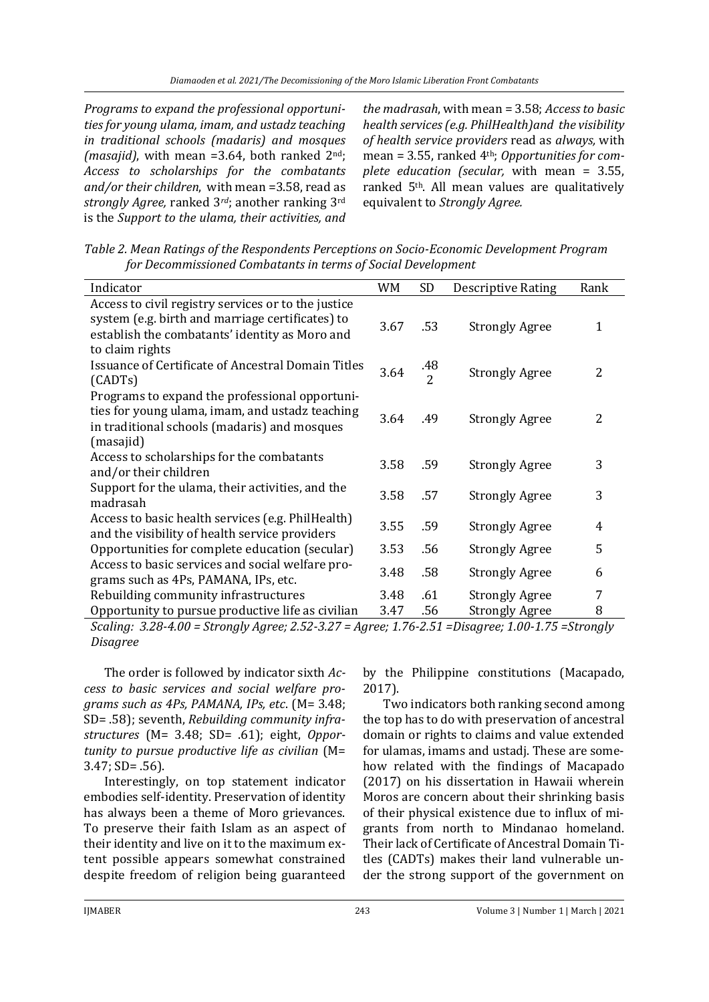*Programs to expand the professional opportunities for young ulama, imam, and ustadz teaching in traditional schools (madaris) and mosques (masajid)*, with mean =3.64, both ranked 2nd; *Access to scholarships for the combatants and/or their children*,with mean =3.58, read as *strongly Agree,* ranked 3*rd*; another ranking 3rd is the *Support to the ulama, their activities, and* 

*the madrasah*, with mean = 3.58; *Access to basic health services (e.g. PhilHealth)and the visibility of health service providers* read as *always,* with mean = 3.55, ranked 4th; *Opportunities for complete education (secular,* with mean = 3.55, ranked 5th. All mean values are qualitatively equivalent to *Strongly Agree.*

*Table 2. Mean Ratings of the Respondents Perceptions on Socio-Economic Development Program for Decommissioned Combatants in terms of Social Development*

| Indicator                                                                                                                                                      | WM   | SD                    | <b>Descriptive Rating</b> | Rank |
|----------------------------------------------------------------------------------------------------------------------------------------------------------------|------|-----------------------|---------------------------|------|
| Access to civil registry services or to the justice                                                                                                            |      |                       |                           |      |
| system (e.g. birth and marriage certificates) to<br>establish the combatants' identity as Moro and<br>to claim rights                                          | 3.67 | .53                   | <b>Strongly Agree</b>     | 1    |
| <b>Issuance of Certificate of Ancestral Domain Titles</b><br>(CADTs)                                                                                           | 3.64 | .48<br>$\overline{2}$ | <b>Strongly Agree</b>     | 2    |
| Programs to expand the professional opportuni-<br>ties for young ulama, imam, and ustadz teaching<br>in traditional schools (madaris) and mosques<br>(masajid) | 3.64 | .49                   | <b>Strongly Agree</b>     | 2    |
| Access to scholarships for the combatants<br>and/or their children                                                                                             | 3.58 | .59                   | <b>Strongly Agree</b>     | 3    |
| Support for the ulama, their activities, and the<br>madrasah                                                                                                   | 3.58 | .57                   | <b>Strongly Agree</b>     | 3    |
| Access to basic health services (e.g. PhilHealth)<br>and the visibility of health service providers                                                            | 3.55 | .59                   | <b>Strongly Agree</b>     | 4    |
| Opportunities for complete education (secular)                                                                                                                 | 3.53 | .56                   | <b>Strongly Agree</b>     | 5    |
| Access to basic services and social welfare pro-<br>grams such as 4Ps, PAMANA, IPs, etc.                                                                       | 3.48 | .58                   | <b>Strongly Agree</b>     | 6    |
| Rebuilding community infrastructures                                                                                                                           | 3.48 | .61                   | <b>Strongly Agree</b>     | 7    |
| Opportunity to pursue productive life as civilian                                                                                                              | 3.47 | .56                   | <b>Strongly Agree</b>     | 8    |

*Scaling: 3.28-4.00 = Strongly Agree; 2.52-3.27 = Agree; 1.76-2.51 =Disagree; 1.00-1.75 =Strongly Disagree*

The order is followed by indicator sixth *Access to basic services and social welfare programs such as 4Ps, PAMANA, IPs, etc*. (M= 3.48; SD= .58); seventh, *Rebuilding community infrastructures* (M= 3.48; SD= .61); eight, *Opportunity to pursue productive life as civilian* (M= 3.47; SD= .56).

Interestingly, on top statement indicator embodies self-identity. Preservation of identity has always been a theme of Moro grievances. To preserve their faith Islam as an aspect of their identity and live on it to the maximum extent possible appears somewhat constrained despite freedom of religion being guaranteed by the Philippine constitutions (Macapado, 2017).

Two indicators both ranking second among the top has to do with preservation of ancestral domain or rights to claims and value extended for ulamas, imams and ustadj. These are somehow related with the findings of Macapado (2017) on his dissertation in Hawaii wherein Moros are concern about their shrinking basis of their physical existence due to influx of migrants from north to Mindanao homeland. Their lack of Certificate of Ancestral Domain Titles (CADTs) makes their land vulnerable under the strong support of the government on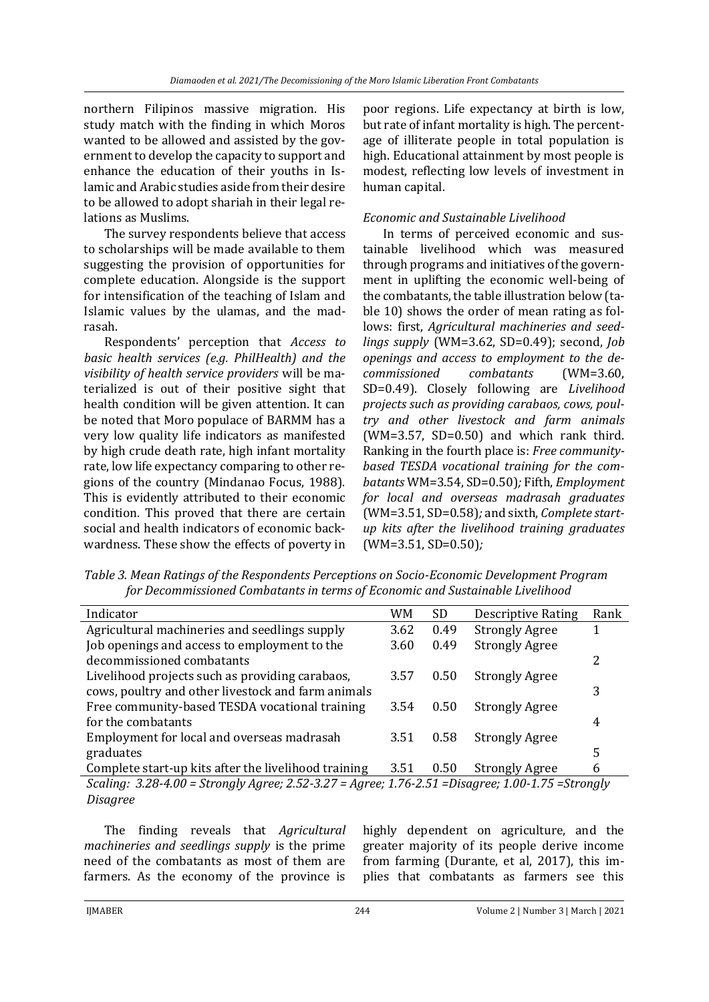northern Filipinos massive migration. His study match with the finding in which Moros wanted to be allowed and assisted by the government to develop the capacity to support and enhance the education of their youths in Islamic and Arabic studies aside from their desire to be allowed to adopt shariah in their legal relations as Muslims.

The survey respondents believe that access to scholarships will be made available to them suggesting the provision of opportunities for complete education. Alongside is the support for intensification of the teaching of Islam and Islamic values by the ulamas, and the madrasah.

Respondents' perception that *Access to basic health services (e.g. PhilHealth) and the visibility of health service providers* will be materialized is out of their positive sight that health condition will be given attention. It can be noted that Moro populace of BARMM has a very low quality life indicators as manifested by high crude death rate, high infant mortality rate, low life expectancy comparing to other regions of the country (Mindanao Focus, 1988). This is evidently attributed to their economic condition. This proved that there are certain social and health indicators of economic backwardness. These show the effects of poverty in

poor regions. Life expectancy at birth is low, but rate of infant mortality is high. The percentage of illiterate people in total population is high. Educational attainment by most people is modest, reflecting low levels of investment in human capital.

### *Economic and Sustainable Livelihood*

In terms of perceived economic and sustainable livelihood which was measured through programs and initiatives of the government in uplifting the economic well-being of the combatants, the table illustration below (table 10) shows the order of mean rating as follows: first, *Agricultural machineries and seedlings supply* (WM=3.62, SD=0.49); second, *Job openings and access to employment to the decommissioned combatants* (WM=3.60, SD=0.49). Closely following are *Livelihood projects such as providing carabaos, cows, poultry and other livestock and farm animals*   $(WM=3.57, SD=0.50)$  and which rank third. Ranking in the fourth place is: *Free communitybased TESDA vocational training for the combatants* WM=3.54, SD=0.50)*;* Fifth, *Employment for local and overseas madrasah graduates*  (WM=3.51, SD=0.58)*;* and sixth, *Complete startup kits after the livelihood training graduates*  (WM=3.51, SD=0.50)*;*

*Table 3. Mean Ratings of the Respondents Perceptions on Socio-Economic Development Program for Decommissioned Combatants in terms of Economic and Sustainable Livelihood*

| Indicator                                                                                          | WM   | SD.  | <b>Descriptive Rating</b> | Rank |
|----------------------------------------------------------------------------------------------------|------|------|---------------------------|------|
| Agricultural machineries and seedlings supply                                                      | 3.62 | 0.49 | <b>Strongly Agree</b>     |      |
| Job openings and access to employment to the                                                       | 3.60 | 0.49 | <b>Strongly Agree</b>     |      |
| decommissioned combatants                                                                          |      |      |                           | 2    |
| Livelihood projects such as providing carabaos,                                                    | 3.57 | 0.50 | <b>Strongly Agree</b>     |      |
| cows, poultry and other livestock and farm animals                                                 |      |      |                           | 3    |
| Free community-based TESDA vocational training                                                     | 3.54 | 0.50 | <b>Strongly Agree</b>     |      |
| for the combatants                                                                                 |      |      |                           | 4    |
| Employment for local and overseas madrasah                                                         | 3.51 | 0.58 | <b>Strongly Agree</b>     |      |
| graduates                                                                                          |      |      |                           | 5    |
| Complete start-up kits after the livelihood training                                               | 3.51 | 0.50 | <b>Strongly Agree</b>     | 6    |
| Scaling: 3.28-4.00 = Strongly Agree; 2.52-3.27 = Agree; 1.76-2.51 = Disagree; 1.00-1.75 = Strongly |      |      |                           |      |

*Disagree*

The finding reveals that *Agricultural machineries and seedlings supply* is the prime need of the combatants as most of them are farmers. As the economy of the province is highly dependent on agriculture, and the greater majority of its people derive income from farming (Durante, et al, 2017), this implies that combatants as farmers see this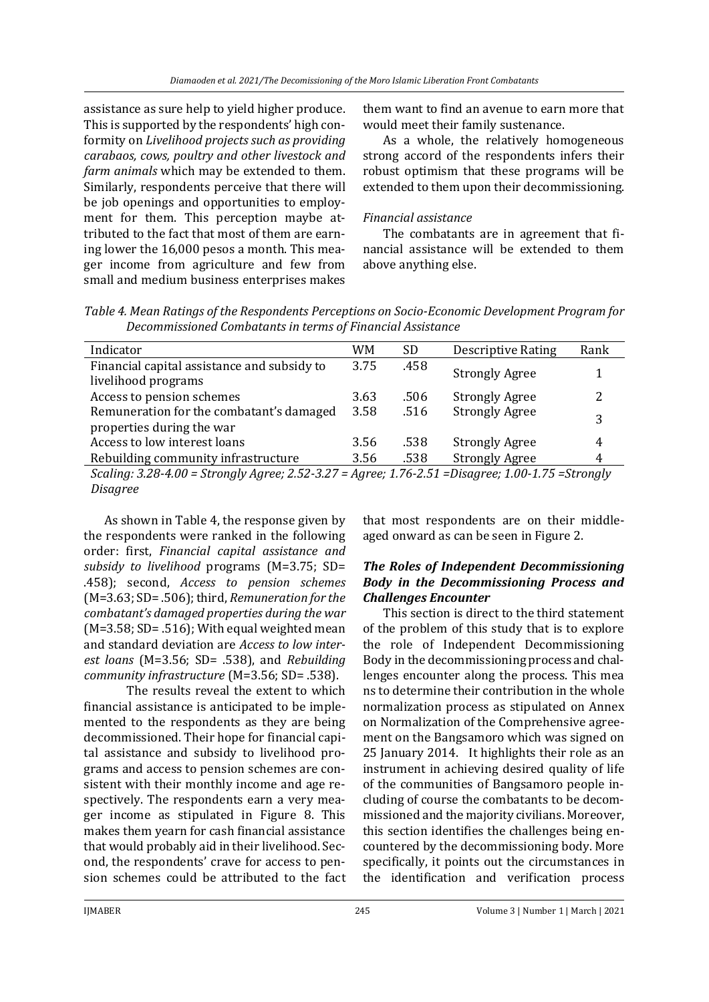assistance as sure help to yield higher produce. This is supported by the respondents' high conformity on *Livelihood projects such as providing carabaos, cows, poultry and other livestock and farm animals* which may be extended to them. Similarly, respondents perceive that there will be job openings and opportunities to employment for them. This perception maybe attributed to the fact that most of them are earning lower the 16,000 pesos a month. This meager income from agriculture and few from small and medium business enterprises makes

them want to find an avenue to earn more that would meet their family sustenance.

As a whole, the relatively homogeneous strong accord of the respondents infers their robust optimism that these programs will be extended to them upon their decommissioning.

### *Financial assistance*

The combatants are in agreement that financial assistance will be extended to them above anything else.

| Table 4. Mean Ratings of the Respondents Perceptions on Socio-Economic Development Program for |  |
|------------------------------------------------------------------------------------------------|--|
| Decommissioned Combatants in terms of Financial Assistance                                     |  |

| Indicator                                                                                          | WM   | <b>SD</b> | <b>Descriptive Rating</b> | Rank |  |
|----------------------------------------------------------------------------------------------------|------|-----------|---------------------------|------|--|
| Financial capital assistance and subsidy to                                                        | 3.75 | .458      | <b>Strongly Agree</b>     |      |  |
| livelihood programs                                                                                | 3.63 |           |                           | າ    |  |
| Access to pension schemes                                                                          |      | .506      | <b>Strongly Agree</b>     |      |  |
| Remuneration for the combatant's damaged<br>properties during the war                              | 3.58 | .516      | <b>Strongly Agree</b>     | 3    |  |
| Access to low interest loans                                                                       | 3.56 | .538      | <b>Strongly Agree</b>     | 4    |  |
| Rebuilding community infrastructure                                                                | 3.56 | .538      | <b>Strongly Agree</b>     | 4    |  |
| Scaling: 3.28-4.00 = Strongly Agree; 2.52-3.27 = Agree; 1.76-2.51 = Disagree; 1.00-1.75 = Strongly |      |           |                           |      |  |

*Disagree*

As shown in Table 4, the response given by the respondents were ranked in the following order: first, *Financial capital assistance and subsidy to livelihood* programs (M=3.75; SD= .458); second, *Access to pension schemes* (M=3.63; SD= .506); third, *Remuneration for the combatant's damaged properties during the war*   $(M=3.58; SD=.516)$ ; With equal weighted mean and standard deviation are *Access to low interest loans* (M=3.56; SD= .538), and *Rebuilding community infrastructure* (M=3.56; SD= .538).

The results reveal the extent to which financial assistance is anticipated to be implemented to the respondents as they are being decommissioned. Their hope for financial capital assistance and subsidy to livelihood programs and access to pension schemes are consistent with their monthly income and age respectively. The respondents earn a very meager income as stipulated in Figure 8. This makes them yearn for cash financial assistance that would probably aid in their livelihood. Second, the respondents' crave for access to pension schemes could be attributed to the fact

that most respondents are on their middleaged onward as can be seen in Figure 2.

### *The Roles of Independent Decommissioning Body in the Decommissioning Process and Challenges Encounter*

This section is direct to the third statement of the problem of this study that is to explore the role of Independent Decommissioning Body in the decommissioning process and challenges encounter along the process. This mea ns to determine their contribution in the whole normalization process as stipulated on Annex on Normalization of the Comprehensive agreement on the Bangsamoro which was signed on 25 January 2014. It highlights their role as an instrument in achieving desired quality of life of the communities of Bangsamoro people including of course the combatants to be decommissioned and the majority civilians. Moreover, this section identifies the challenges being encountered by the decommissioning body. More specifically, it points out the circumstances in the identification and verification process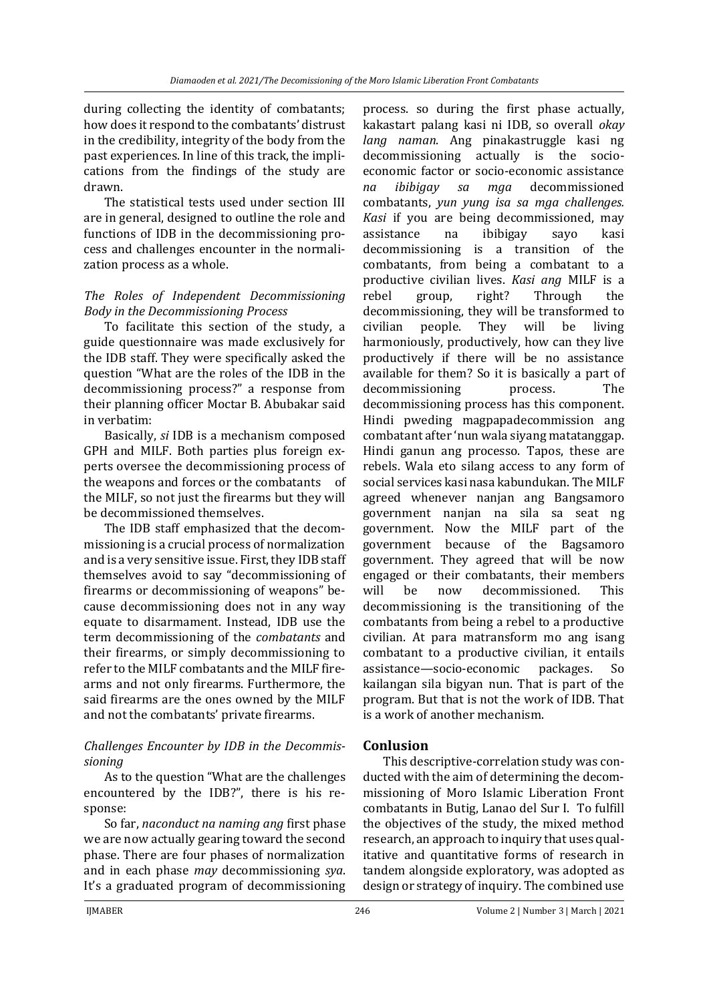during collecting the identity of combatants; how does it respond to the combatants' distrust in the credibility, integrity of the body from the past experiences. In line of this track, the implications from the findings of the study are drawn.

The statistical tests used under section III are in general, designed to outline the role and functions of IDB in the decommissioning process and challenges encounter in the normalization process as a whole.

#### *The Roles of Independent Decommissioning Body in the Decommissioning Process*

To facilitate this section of the study, a guide questionnaire was made exclusively for the IDB staff. They were specifically asked the question "What are the roles of the IDB in the decommissioning process?" a response from their planning officer Moctar B. Abubakar said in verbatim:

Basically, *si* IDB is a mechanism composed GPH and MILF. Both parties plus foreign experts oversee the decommissioning process of the weapons and forces or the combatants of the MILF, so not just the firearms but they will be decommissioned themselves.

The IDB staff emphasized that the decommissioning is a crucial process of normalization and is a very sensitive issue. First, they IDB staff themselves avoid to say "decommissioning of firearms or decommissioning of weapons" because decommissioning does not in any way equate to disarmament. Instead, IDB use the term decommissioning of the *combatants* and their firearms, or simply decommissioning to refer to the MILF combatants and the MILF firearms and not only firearms. Furthermore, the said firearms are the ones owned by the MILF and not the combatants' private firearms.

### *Challenges Encounter by IDB in the Decommissioning*

As to the question "What are the challenges encountered by the IDB?", there is his response:

So far, *naconduct na naming ang* first phase we are now actually gearing toward the second phase. There are four phases of normalization and in each phase *may* decommissioning *sya*. It's a graduated program of decommissioning

process. so during the first phase actually, kakastart palang kasi ni IDB, so overall *okay lang naman*. Ang pinakastruggle kasi ng decommissioning actually is the socioeconomic factor or socio-economic assistance *na ibibigay sa mga* decommissioned combatants, *yun yung isa sa mga challenges. Kasi* if you are being decommissioned, may assistance na ibibigay sayo kasi decommissioning is a transition of the combatants, from being a combatant to a productive civilian lives. *Kasi ang* MILF is a rebel group, right? Through the decommissioning, they will be transformed to civilian people. They will be living harmoniously, productively, how can they live productively if there will be no assistance available for them? So it is basically a part of decommissioning process. The decommissioning process has this component. Hindi pweding magpapadecommission ang combatant after 'nun wala siyang matatanggap. Hindi ganun ang processo. Tapos, these are rebels. Wala eto silang access to any form of social services kasi nasa kabundukan. The MILF agreed whenever nanjan ang Bangsamoro government nanjan na sila sa seat ng government. Now the MILF part of the government because of the Bagsamoro government. They agreed that will be now engaged or their combatants, their members will be now decommissioned. This decommissioning is the transitioning of the combatants from being a rebel to a productive civilian. At para matransform mo ang isang combatant to a productive civilian, it entails assistance—socio-economic packages. So kailangan sila bigyan nun. That is part of the program. But that is not the work of IDB. That is a work of another mechanism.

### **Conlusion**

This descriptive-correlation study was conducted with the aim of determining the decommissioning of Moro Islamic Liberation Front combatants in Butig, Lanao del Sur I. To fulfill the objectives of the study, the mixed method research, an approach to inquiry that uses qualitative and quantitative forms of research in tandem alongside exploratory, was adopted as design or strategy of inquiry. The combined use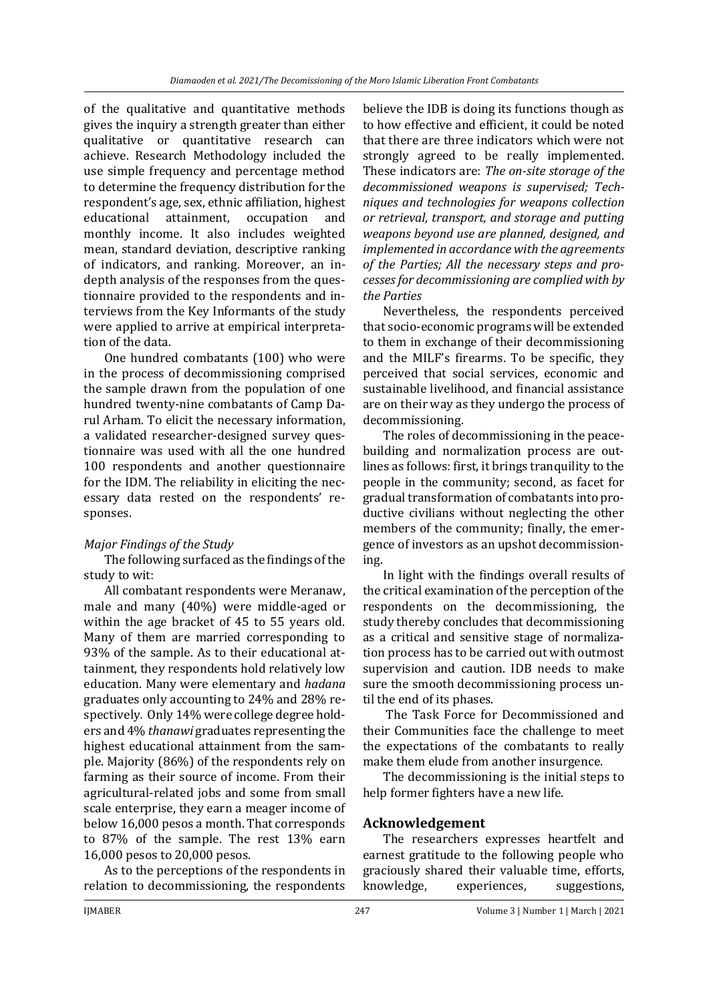of the qualitative and quantitative methods gives the inquiry a strength greater than either qualitative or quantitative research can achieve. Research Methodology included the use simple frequency and percentage method to determine the frequency distribution for the respondent's age, sex, ethnic affiliation, highest educational attainment, occupation and monthly income. It also includes weighted mean, standard deviation, descriptive ranking of indicators, and ranking. Moreover, an indepth analysis of the responses from the questionnaire provided to the respondents and interviews from the Key Informants of the study were applied to arrive at empirical interpretation of the data.

One hundred combatants (100) who were in the process of decommissioning comprised the sample drawn from the population of one hundred twenty-nine combatants of Camp Darul Arham. To elicit the necessary information, a validated researcher-designed survey questionnaire was used with all the one hundred 100 respondents and another questionnaire for the IDM. The reliability in eliciting the necessary data rested on the respondents' responses.

### *Major Findings of the Study*

The following surfaced as the findings of the study to wit:

All combatant respondents were Meranaw, male and many (40%) were middle-aged or within the age bracket of 45 to 55 years old. Many of them are married corresponding to 93% of the sample. As to their educational attainment, they respondents hold relatively low education. Many were elementary and *hadana*  graduates only accounting to 24% and 28% respectively*.* Only 14% were college degree holders and 4% *thanawi* graduates representing the highest educational attainment from the sample. Majority (86%) of the respondents rely on farming as their source of income. From their agricultural-related jobs and some from small scale enterprise, they earn a meager income of below 16,000 pesos a month. That corresponds to 87% of the sample. The rest 13% earn 16,000 pesos to 20,000 pesos.

As to the perceptions of the respondents in relation to decommissioning, the respondents

believe the IDB is doing its functions though as to how effective and efficient, it could be noted that there are three indicators which were not strongly agreed to be really implemented. These indicators are: *The on-site storage of the decommissioned weapons is supervised; Techniques and technologies for weapons collection or retrieval, transport, and storage and putting weapons beyond use are planned, designed, and implemented in accordance with the agreements of the Parties; All the necessary steps and processes for decommissioning are complied with by the Parties*

Nevertheless, the respondents perceived that socio-economic programs will be extended to them in exchange of their decommissioning and the MILF's firearms. To be specific, they perceived that social services, economic and sustainable livelihood, and financial assistance are on their way as they undergo the process of decommissioning.

The roles of decommissioning in the peacebuilding and normalization process are outlines as follows: first, it brings tranquility to the people in the community; second, as facet for gradual transformation of combatants into productive civilians without neglecting the other members of the community; finally, the emergence of investors as an upshot decommissioning.

In light with the findings overall results of the critical examination of the perception of the respondents on the decommissioning, the study thereby concludes that decommissioning as a critical and sensitive stage of normalization process has to be carried out with outmost supervision and caution. IDB needs to make sure the smooth decommissioning process until the end of its phases.

The Task Force for Decommissioned and their Communities face the challenge to meet the expectations of the combatants to really make them elude from another insurgence.

The decommissioning is the initial steps to help former fighters have a new life.

## **Acknowledgement**

The researchers expresses heartfelt and earnest gratitude to the following people who graciously shared their valuable time, efforts, knowledge, experiences, suggestions,